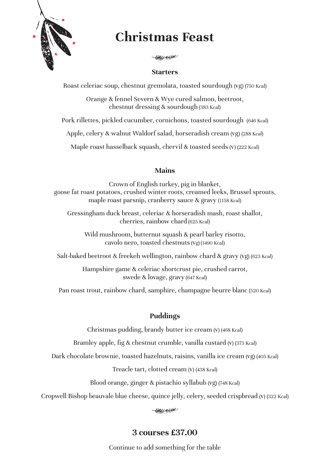

# **Christmas Feast**

НИН <del>ин Ник</del>

#### **Starters**

Roast celeriac soup, chestnut gremolata, toasted sourdough (vg) (750 Kcal)

Orange & fennel Severn & Wye cured salmon, beetroot, chestnut dressing & sourdough (383 Kcal)

Pork rillettes, pickled cucumber, cornichons, toasted sourdough (646 Kcal)

Apple, celery & walnut Waldorf salad, horseradish cream (vg) (288 Kcal)

Maple roast hasselback squash, chervil & toasted seeds (v) (222 Kcal)

## **Mains**

Crown of English turkey, pig in blanket, goose fat roast potatoes, crushed winter roots, creamed leeks, Brussel sprouts, maple roast parsnip, cranberry sauce & gravy (1158 Kcal)

Gressingham duck breast, celeriac & horseradish mash, roast shallot, cherries, rainbow chard (625 Kcal)

Wild mushroom, butternut squash & pearl barley risotto, cavolo nero, toasted chestnuts (vg) (1490 Kcal)

Salt-baked beetroot & freekeh wellington, rainbow chard & gravy (vg) (623 Kcal)

Hampshire game & celeriac shortcrust pie, crushed carrot, swede & lovage, gravy (647 Kcal)

Pan roast trout, rainbow chard, samphire, champagne beurre blanc (520 Kcal)

## **Puddings**

Christmas pudding, brandy butter ice cream (v) (468 Kcal)

Bramley apple, fig & chestnut crumble, vanilla custard (v) (373 Kcal)

Dark chocolate brownie, toasted hazelnuts, raisins, vanilla ice cream (vg) (405 Kcal)

Treacle tart, clotted cream (v) (438 Kcal)

Blood orange, ginger & pistachio syllabub (vg) (748 Kcal)

Cropwell Bishop beauvale blue cheese, quince jelly, celery, seeded crispbread (v) (322 Kcal)

# **3 courses £37.00**

Continue to add something for the table